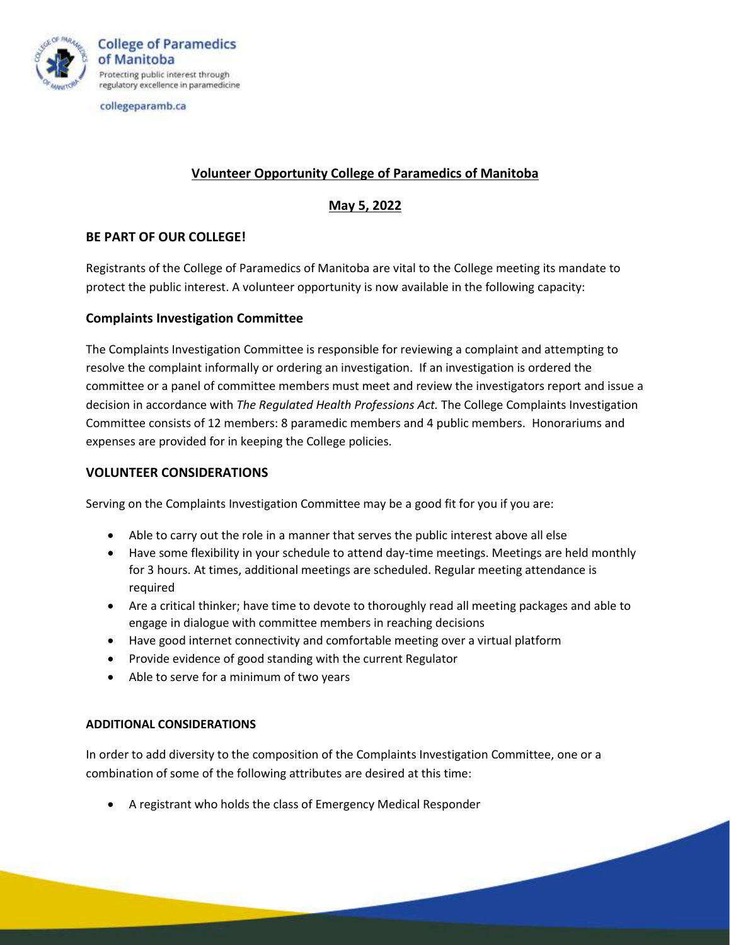

collegeparamb.ca

# **Volunteer Opportunity College of Paramedics of Manitoba**

### **May 5, 2022**

### **BE PART OF OUR COLLEGE!**

Registrants of the College of Paramedics of Manitoba are vital to the College meeting its mandate to protect the public interest. A volunteer opportunity is now available in the following capacity:

### **Complaints Investigation Committee**

The Complaints Investigation Committee is responsible for reviewing a complaint and attempting to resolve the complaint informally or ordering an investigation. If an investigation is ordered the committee or a panel of committee members must meet and review the investigators report and issue a decision in accordance with *The Regulated Health Professions Act.* The College Complaints Investigation Committee consists of 12 members: 8 paramedic members and 4 public members. Honorariums and expenses are provided for in keeping the College policies.

### **VOLUNTEER CONSIDERATIONS**

Serving on the Complaints Investigation Committee may be a good fit for you if you are:

- Able to carry out the role in a manner that serves the public interest above all else
- Have some flexibility in your schedule to attend day-time meetings. Meetings are held monthly for 3 hours. At times, additional meetings are scheduled. Regular meeting attendance is required
- Are a critical thinker; have time to devote to thoroughly read all meeting packages and able to engage in dialogue with committee members in reaching decisions
- Have good internet connectivity and comfortable meeting over a virtual platform
- Provide evidence of good standing with the current Regulator
- Able to serve for a minimum of two years

#### **ADDITIONAL CONSIDERATIONS**

In order to add diversity to the composition of the Complaints Investigation Committee, one or a combination of some of the following attributes are desired at this time:

• A registrant who holds the class of Emergency Medical Responder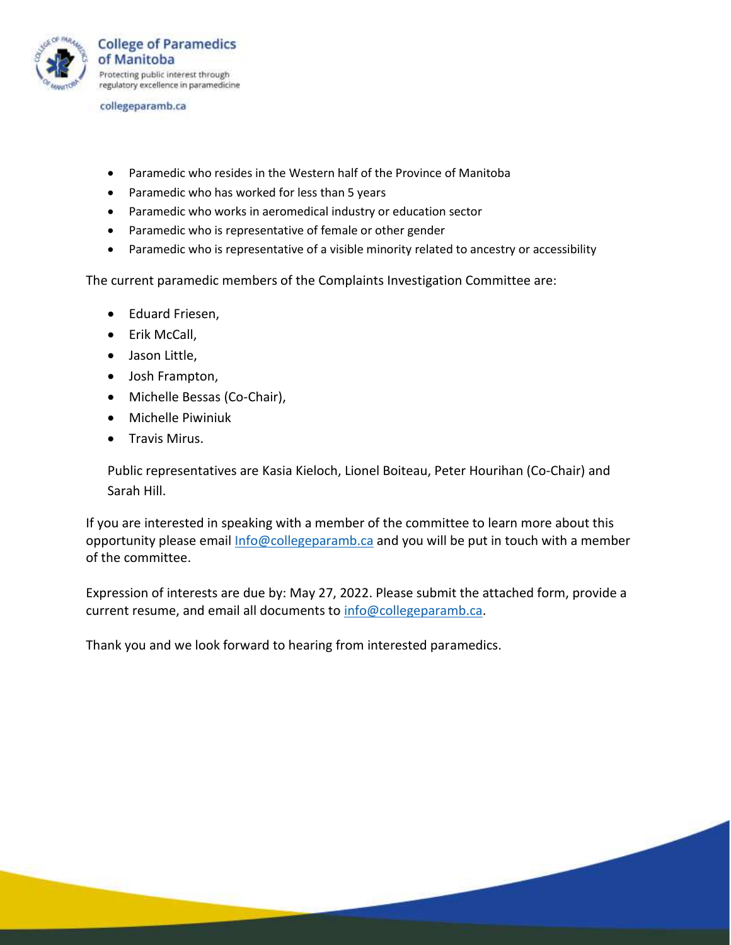

collegeparamb.ca

- Paramedic who resides in the Western half of the Province of Manitoba
- Paramedic who has worked for less than 5 years
- Paramedic who works in aeromedical industry or education sector
- Paramedic who is representative of female or other gender
- Paramedic who is representative of a visible minority related to ancestry or accessibility

The current paramedic members of the Complaints Investigation Committee are:

- Eduard Friesen,
- Erik McCall,
- Jason Little,
- Josh Frampton,
- Michelle Bessas (Co-Chair),
- Michelle Piwiniuk
- Travis Mirus.

Public representatives are Kasia Kieloch, Lionel Boiteau, Peter Hourihan (Co-Chair) and Sarah Hill.

If you are interested in speaking with a member of the committee to learn more about this opportunity please email [Info@collegeparamb.ca](mailto:Info@collegeparamb.ca) and you will be put in touch with a member of the committee.

Expression of interests are due by: May 27, 2022. Please submit the attached form, provide a current resume, and email all documents to [info@collegeparamb.ca.](mailto:info@collegeparamb.ca)

Thank you and we look forward to hearing from interested paramedics.